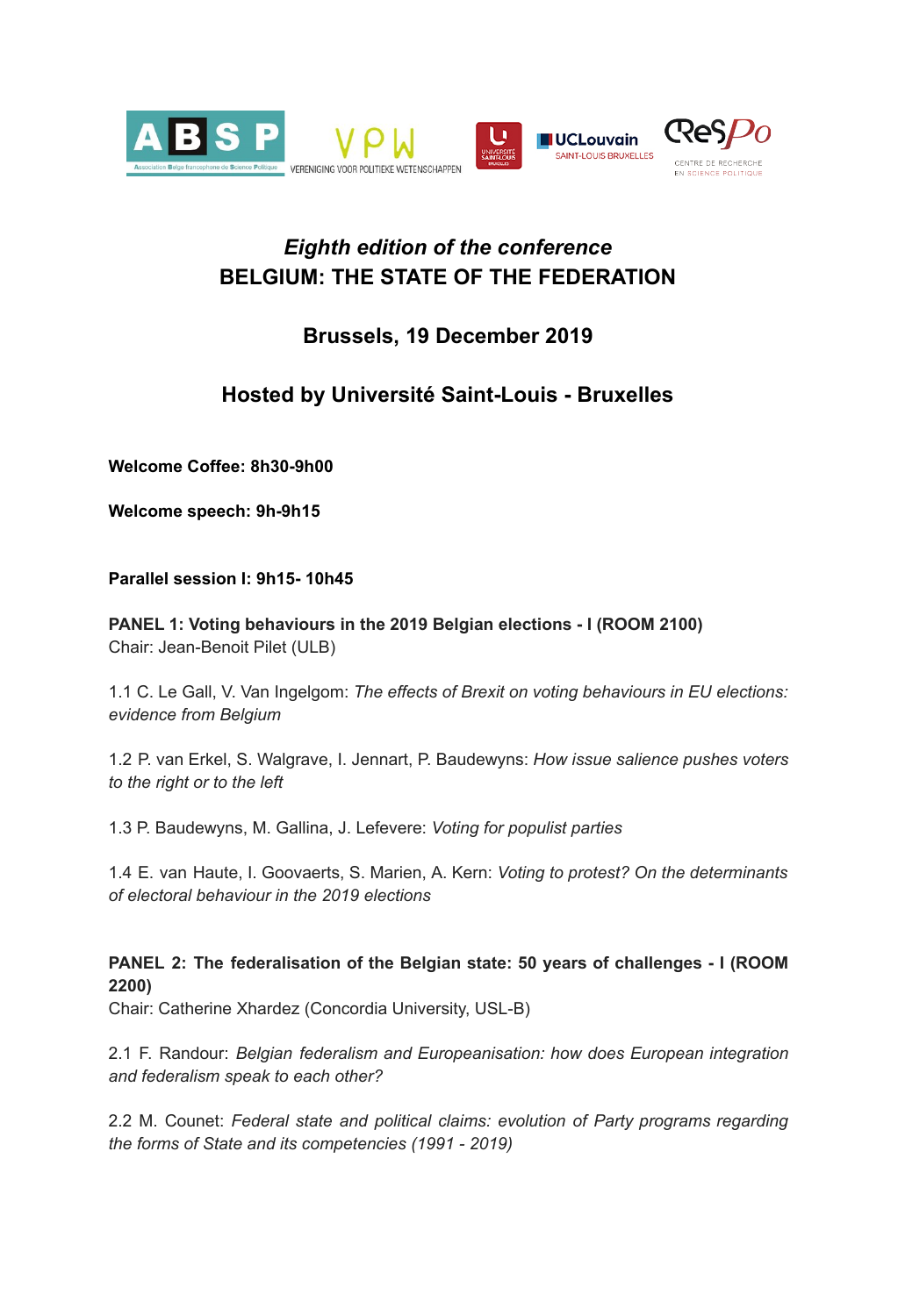

# *Eighth edition of the conference* **BELGIUM: THE STATE OF THE FEDERATION**

## **Brussels, 19 December 2019**

# **Hosted by Université Saint-Louis - Bruxelles**

**Welcome Coffee: 8h30-9h00**

**Welcome speech: 9h-9h15**

**Parallel session I: 9h15- 10h45**

**PANEL 1: Voting behaviours in the 2019 Belgian elections - I (ROOM 2100)** Chair: Jean-Benoit Pilet (ULB)

1.1 C. Le Gall, V. Van Ingelgom: *The effects of Brexit on voting behaviours in EU elections: evidence from Belgium*

1.2 P. van Erkel, S. Walgrave, I. Jennart, P. Baudewyns: *How issue salience pushes voters to the right or to the left*

1.3 P. Baudewyns, M. Gallina, J. Lefevere: *Voting for populist parties*

1.4 E. van Haute, I. Goovaerts, S. Marien, A. Kern: *Voting to protest? On the determinants of electoral behaviour in the 2019 elections*

## **PANEL 2: The federalisation of the Belgian state: 50 years of challenges - I (ROOM 2200)**

Chair: Catherine Xhardez (Concordia University, USL-B)

2.1 F. Randour: *Belgian federalism and Europeanisation: how does European integration and federalism speak to each other?*

2.2 M. Counet: *Federal state and political claims: evolution of Party programs regarding the forms of State and its competencies (1991 - 2019)*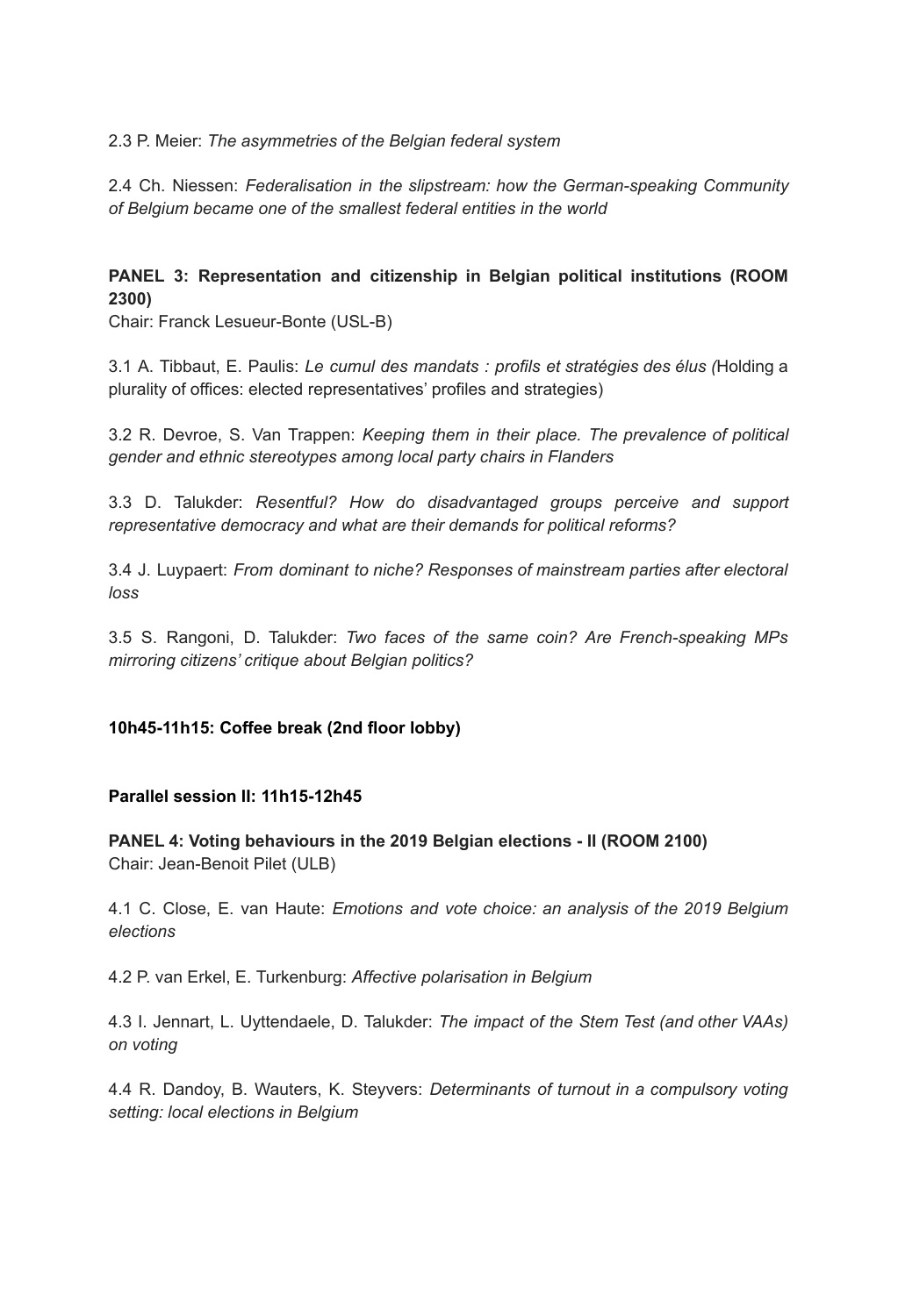2.3 P. Meier: *The asymmetries of the Belgian federal system*

2.4 Ch. Niessen: *Federalisation in the slipstream: how the German-speaking Community of Belgium became one of the smallest federal entities in the world*

## **PANEL 3: Representation and citizenship in Belgian political institutions (ROOM 2300)**

Chair: Franck Lesueur-Bonte (USL-B)

3.1 A. Tibbaut, E. Paulis: *Le cumul des mandats : profils et stratégies des élus (*Holding a plurality of offices: elected representatives' profiles and strategies)

3.2 R. Devroe, S. Van Trappen: *Keeping them in their place. The prevalence of political gender and ethnic stereotypes among local party chairs in Flanders*

3.3 D. Talukder: *Resentful? How do disadvantaged groups perceive and support representative democracy and what are their demands for political reforms?*

3.4 J. Luypaert: *From dominant to niche? Responses of mainstream parties after electoral loss*

3.5 S. Rangoni, D. Talukder: *Two faces of the same coin? Are French-speaking MPs mirroring citizens' critique about Belgian politics?*

#### **10h45-11h15: Coffee break (2nd floor lobby)**

#### **Parallel session II: 11h15-12h45**

**PANEL 4: Voting behaviours in the 2019 Belgian elections - II (ROOM 2100)** Chair: Jean-Benoit Pilet (ULB)

4.1 C. Close, E. van Haute: *Emotions and vote choice: an analysis of the 2019 Belgium elections*

4.2 P. van Erkel, E. Turkenburg: *Affective polarisation in Belgium*

4.3 I. Jennart, L. Uyttendaele, D. Talukder: *The impact of the Stem Test (and other VAAs) on voting*

4.4 R. Dandoy, B. Wauters, K. Steyvers: *Determinants of turnout in a compulsory voting setting: local elections in Belgium*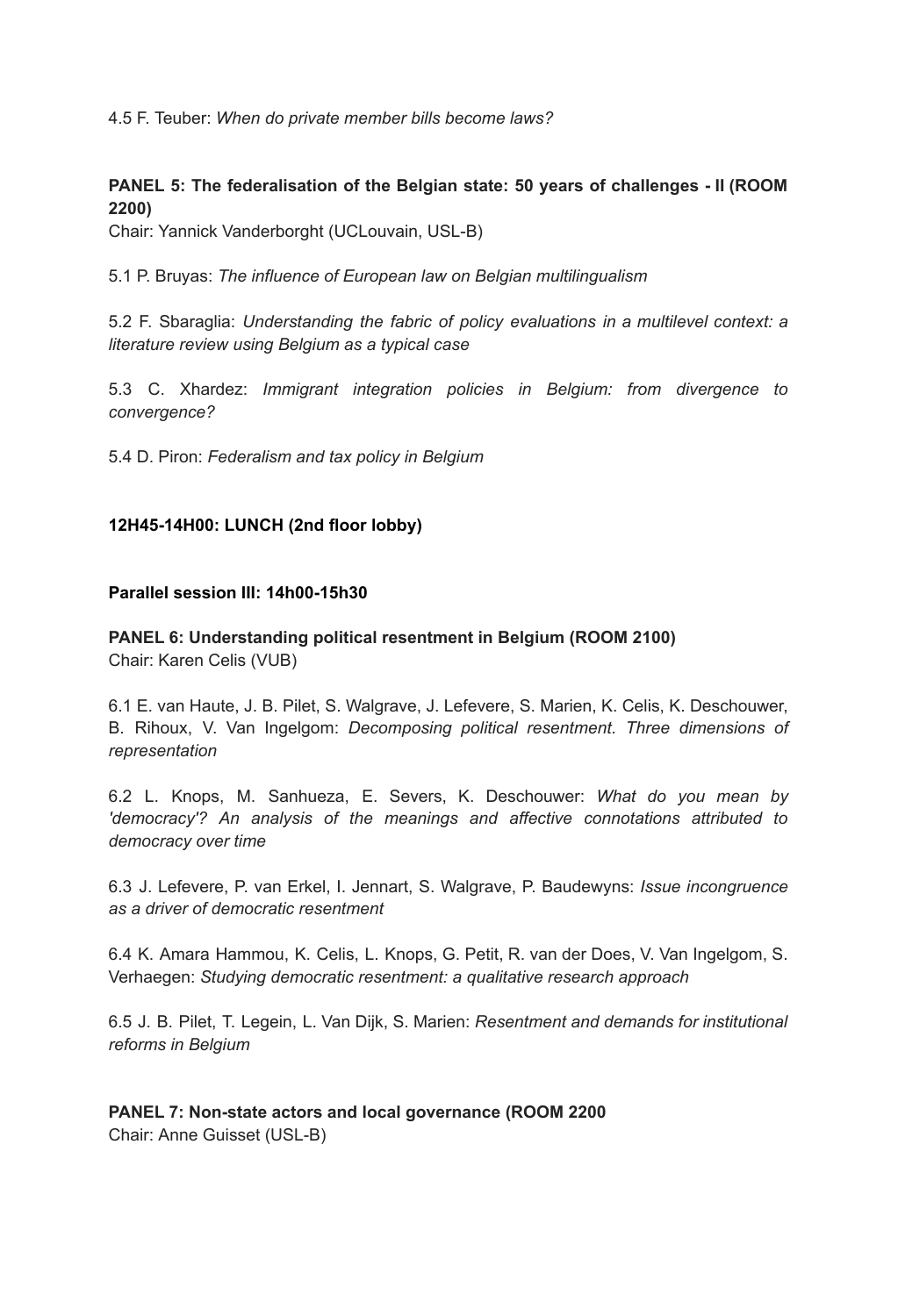4.5 F. Teuber: *When do private member bills become laws?*

## **PANEL 5: The federalisation of the Belgian state: 50 years of challenges - II (ROOM 2200)**

Chair: Yannick Vanderborght (UCLouvain, USL-B)

5.1 P. Bruyas: *The influence of European law on Belgian multilingualism*

5.2 F. Sbaraglia: *Understanding the fabric of policy evaluations in a multilevel context: a literature review using Belgium as a typical case*

5.3 C. Xhardez: *Immigrant integration policies in Belgium: from divergence to convergence?*

5.4 D. Piron: *Federalism and tax policy in Belgium*

## **12H45-14H00: LUNCH (2nd floor lobby)**

#### **Parallel session III: 14h00-15h30**

**PANEL 6: Understanding political resentment in Belgium (ROOM 2100)** Chair: Karen Celis (VUB)

6.1 E. van Haute, J. B. Pilet, S. Walgrave, J. Lefevere, S. Marien, K. Celis, K. Deschouwer, B. Rihoux, V. Van Ingelgom: *Decomposing political resentment. Three dimensions of representation*

6.2 L. Knops, M. Sanhueza, E. Severs, K. Deschouwer: *What do you mean by 'democracy'? An analysis of the meanings and affective connotations attributed to democracy over time*

6.3 J. Lefevere, P. van Erkel, I. Jennart, S. Walgrave, P. Baudewyns: *Issue incongruence as a driver of democratic resentment*

6.4 K. Amara Hammou, K. Celis, L. Knops, G. Petit, R. van der Does, V. Van Ingelgom, S. Verhaegen: *Studying democratic resentment: a qualitative research approach*

6.5 J. B. Pilet, T. Legein, L. Van Dijk, S. Marien: *Resentment and demands for institutional reforms in Belgium*

### **PANEL 7: Non-state actors and local governance (ROOM 2200** Chair: Anne Guisset (USL-B)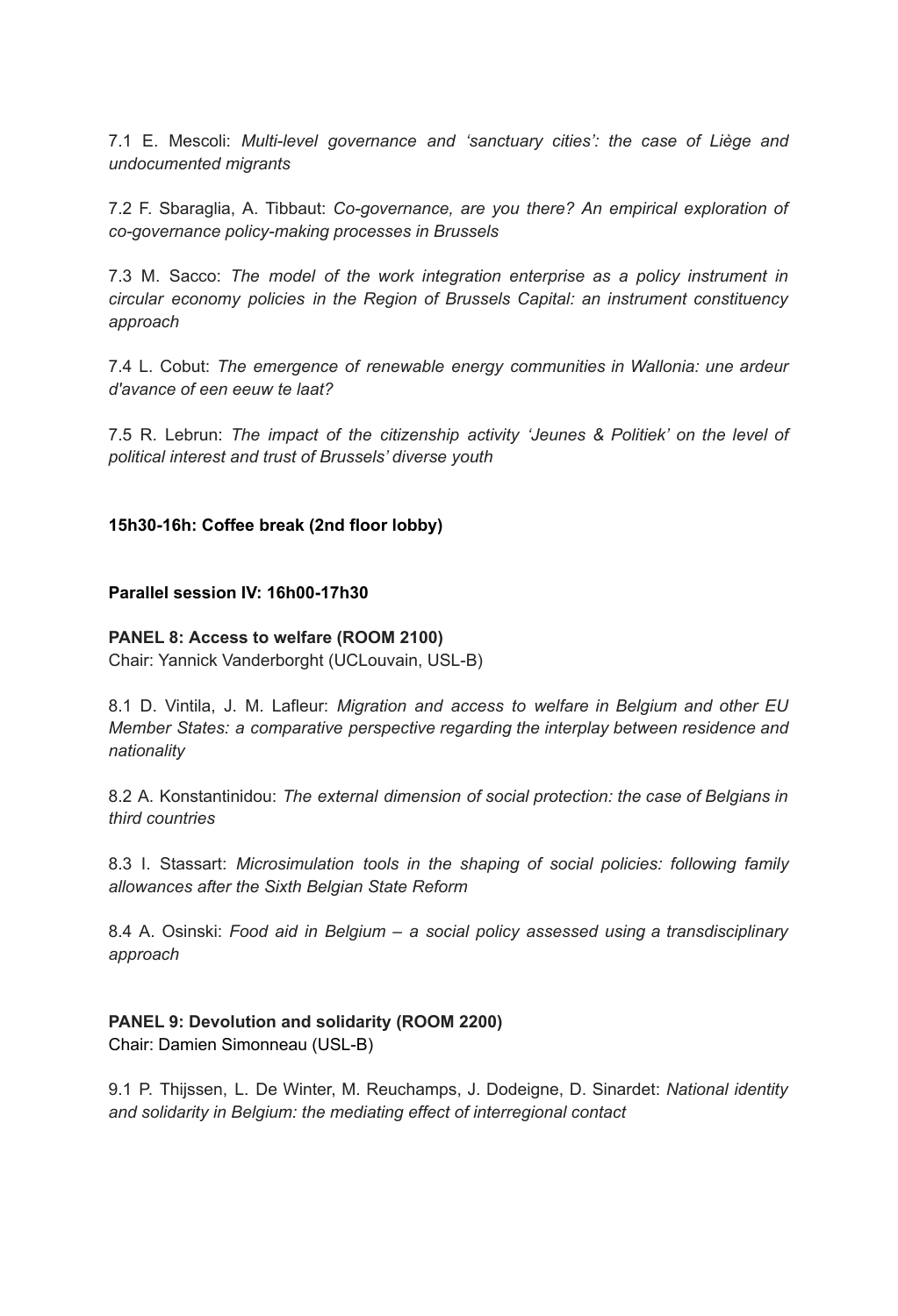7.1 E. Mescoli: *Multi-level governance and 'sanctuary cities': the case of Liège and undocumented migrants*

7.2 F. Sbaraglia, A. Tibbaut: *Co-governance, are you there? An empirical exploration of co-governance policy-making processes in Brussels*

7.3 M. Sacco: *The model of the work integration enterprise as a policy instrument in circular economy policies in the Region of Brussels Capital: an instrument constituency approach*

7.4 L. Cobut: *The emergence of renewable energy communities in Wallonia: une ardeur d'avance of een eeuw te laat?*

7.5 R. Lebrun: *The impact of the citizenship activity 'Jeunes & Politiek' on the level of political interest and trust of Brussels' diverse youth*

**15h30-16h: Coffee break (2nd floor lobby)**

#### **Parallel session IV: 16h00-17h30**

#### **PANEL 8: Access to welfare (ROOM 2100)**

Chair: Yannick Vanderborght (UCLouvain, USL-B)

8.1 D. Vintila, J. M. Lafleur: *Migration and access to welfare in Belgium and other EU Member States: a comparative perspective regarding the interplay between residence and nationality*

8.2 A. Konstantinidou: *The external dimension of social protection: the case of Belgians in third countries*

8.3 I. Stassart: *Microsimulation tools in the shaping of social policies: following family allowances after the Sixth Belgian State Reform*

8.4 A. Osinski: *Food aid in Belgium – a social policy assessed using a transdisciplinary approach*

### **PANEL 9: Devolution and solidarity (ROOM 2200)** Chair: Damien Simonneau (USL-B)

9.1 P. Thijssen, L. De Winter, M. Reuchamps, J. Dodeigne, D. Sinardet: *National identity and solidarity in Belgium: the mediating effect of interregional contact*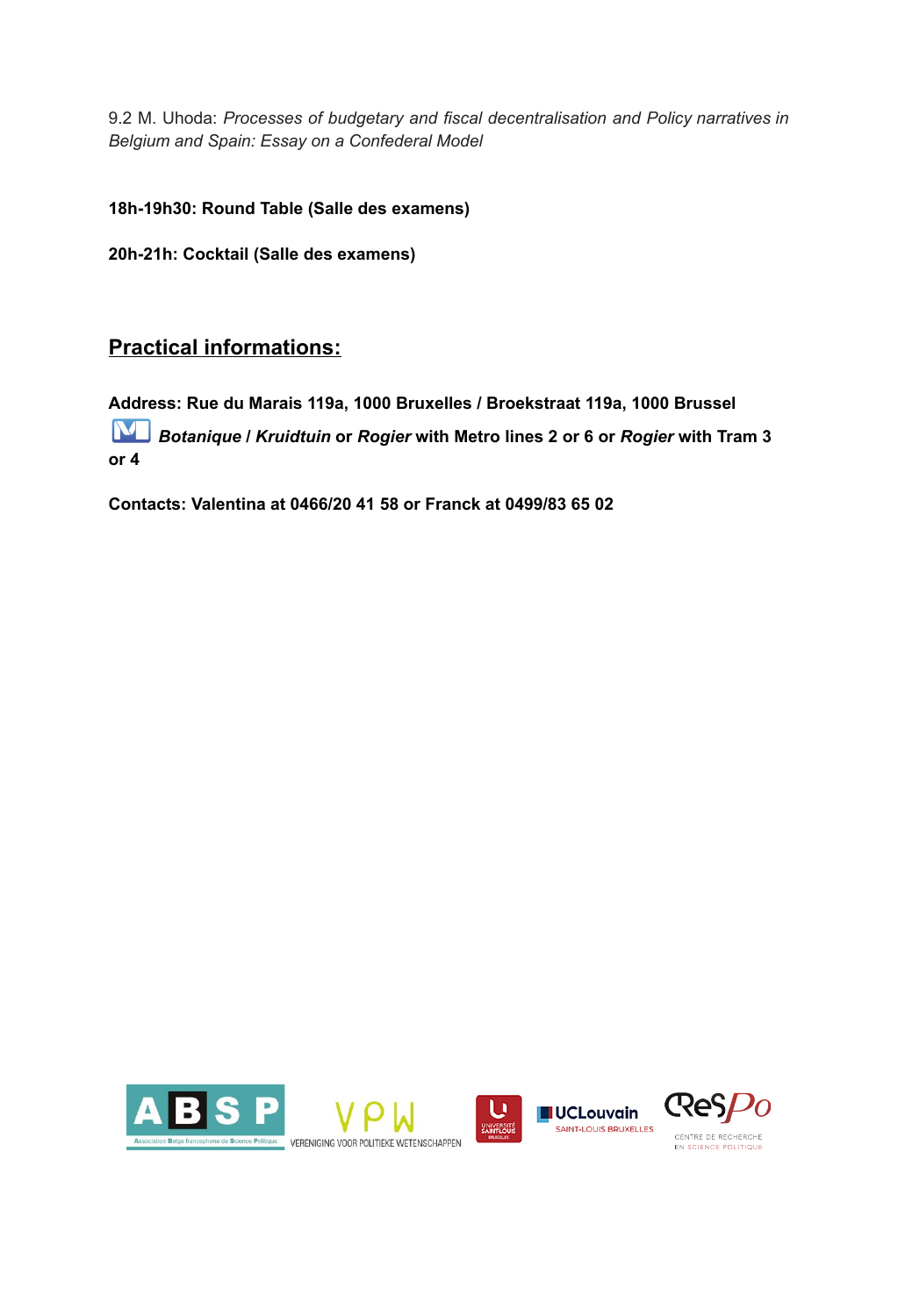9.2 M. Uhoda: *Processes of budgetary and fiscal decentralisation and Policy narratives in Belgium and Spain: Essay on a Confederal Model*

**18h-19h30: Round Table (Salle des examens)**

**20h-21h: Cocktail (Salle des examens)**

## **Practical informations:**

**Address: Rue du Marais 119a, 1000 Bruxelles / Broekstraat 119a, 1000 Brussel** *Botanique* **/** *Kruidtuin* **or** *Rogier* **with Metro lines 2 or 6 or** *Rogier* **with Tram 3 or 4**

**Contacts: Valentina at 0466/20 41 58 or Franck at 0499/83 65 02**